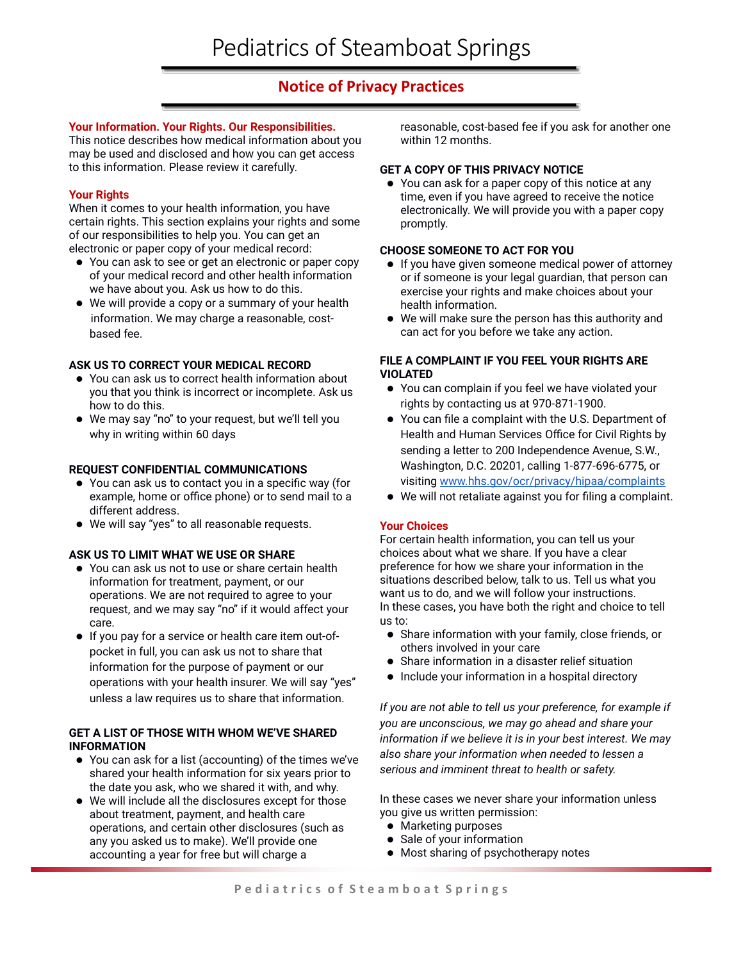# **Notice of Privacy Practices**

# **Your Information. Your Rights. Our Responsibilities.**

This notice describes how medical information about you may be used and disclosed and how you can get access to this information. Please review it carefully.

# **Your Rights**

When it comes to your health information, you have certain rights. This section explains your rights and some of our responsibilities to help you. You can get an electronic or paper copy of your medical record:

- You can ask to see or get an electronic or paper copy of your medical record and other health information we have about you. Ask us how to do this.
- We will provide a copy or a summary of your health information. We may charge a reasonable, costbased fee.

# **ASK US TO CORRECT YOUR MEDICAL RECORD**

- You can ask us to correct health information about you that you think is incorrect or incomplete. Ask us how to do this.
- We may say "no" to your request, but we'll tell you why in writing within 60 days

# **REQUEST CONFIDENTIAL COMMUNICATIONS**

- You can ask us to contact you in a specific way (for example, home or office phone) or to send mail to a different address.
- We will say "yes" to all reasonable requests.

# **ASK US TO LIMIT WHAT WE USE OR SHARE**

- You can ask us not to use or share certain health information for treatment, payment, or our operations. We are not required to agree to your request, and we may say "no" if it would affect your care.
- **If you pay for a service or health care item out-of**pocket in full, you can ask us not to share that information for the purpose of payment or our operations with your health insurer. We will say "yes" unless a law requires us to share that information.

# **GET A LIST OF THOSE WITH WHOM WE'VE SHARED INFORMATION**

- You can ask for a list (accounting) of the times we've shared your health information for six years prior to the date you ask, who we shared it with, and why.
- We will include all the disclosures except for those about treatment, payment, and health care operations, and certain other disclosures (such as any you asked us to make). We'll provide one accounting a year for free but will charge a

reasonable, cost-based fee if you ask for another one within 12 months.

# **GET A COPY OF THIS PRIVACY NOTICE**

 You can ask for a paper copy of this notice at any time, even if you have agreed to receive the notice electronically. We will provide you with a paper copy promptly.

# **CHOOSE SOMEONE TO ACT FOR YOU**

- If you have given someone medical power of attorney or if someone is your legal guardian, that person can exercise your rights and make choices about your health information.
- We will make sure the person has this authority and can act for you before we take any action.

# **FILE A COMPLAINT IF YOU FEEL YOUR RIGHTS ARE VIOLATED**

- You can complain if you feel we have violated your rights by contacting us at 970-871-1900.
- You can file a complaint with the U.S. Department of Health and Human Services Office for Civil Rights by sendin[g a letter to 200 Independence Avenue, S.W.,](http://www.hhs.gov/ocr/privacy/hipaa/complaints) Washington, D.C. 20201, calling 1-877-696-6775, or visiting www.hhs.gov/ocr/privacy/hipaa/complaints
- We will not retaliate against you for filing a complaint.

# **Your Choices**

For certain health information, you can tell us your choices about what we share. If you have a clear preference for how we share your information in the situations described below, talk to us. Tell us what you want us to do, and we will follow your instructions. In these cases, you have both the right and choice to tell us to:

- Share information with your family, close friends, or others involved in your care
- Share information in a disaster relief situation
- Include your information in a hospital directory

*If you are not able to tell us your preference, for example if you are unconscious, we may go ahead and share your information if we believe it is in your best interest. We may also share your information when needed to lessen a serious and imminent threat to health or safety.*

In these cases we never share your information unless you give us written permission:

- Marketing purposes
- Sale of your information
- Most sharing of psychotherapy notes